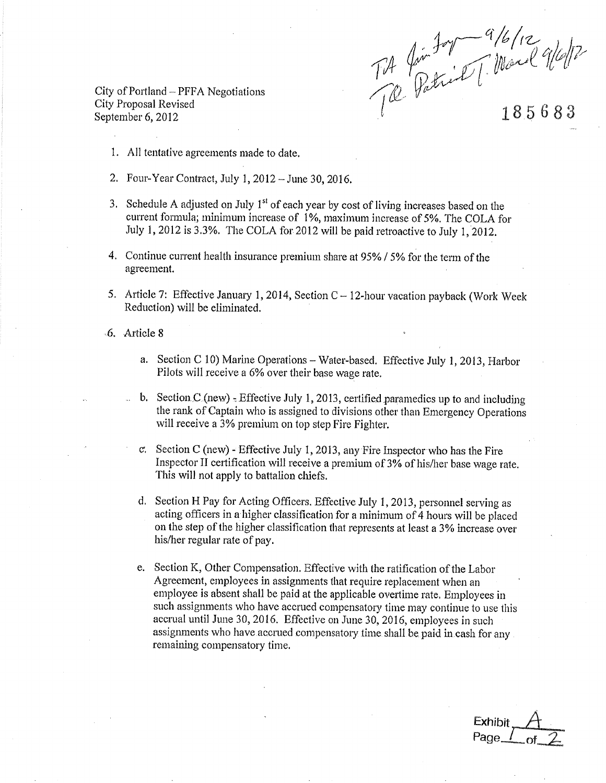Tit fin for a 16/12<br>Tit fatrich [ March 9/6/12

City of Portland – PFFA Negotiations City Proposal Revised September 6, 2012

185683

- 1. All tentative agreements made to date.
- 2. Four-Year Contract, July 1, 2012 June 30, 2016.
- 3. Schedule A adjusted on July 1<sup>st</sup> of each year by cost of living increases based on the current formula; minimum increase of 1%, maximum increase of 5%. The COLA for July 1, 2012 is 3.3%. The COLA for 2012 will be paid retroactive to July 1, 2012.
- 4. Continue current health insurance premium share at 95% / 5% for the term of the agreement.
- 5. Article 7: Effective January 1, 2014, Section C 12-hour vacation payback (Work Week Reduction) will be eliminated.
- -6. Article 8
	- a. Section C 10) Marine Operations Water-based. Effective July 1, 2013, Harbor Pilots will receive a 6% over their base wage rate.
	- b. Section  $C$  (new) Effective July 1, 2013, certified parametics up to and including the rank of Captain who is assigned to divisions other than Emergency Operations will receive a 3% premium on top step Fire Fighter.
	- c. Section C (new) Effective July 1, 2013, any Fire Inspector who has the Fire Inspector II certification will receive a premium of 3% of his/her base wage rate. This will not apply to battalion chiefs.
	- d. Section H Pay for Acting Officers. Effective July 1, 2013, personnel serving as acting officers in a higher classification for a minimum of 4 hours will be placed on the step of the higher classification that represents at least a 3% increase over his/her regular rate of pay.
	- e. Section K, Other Compensation. Effective with the ratification of the Labor Agreement, employees in assignments that require replacement when an employee is absent shall be paid at the applicable overtime rate. Employees in such assignments who have accrued compensatory time may continue to use this accrual until June 30, 2016. Effective on June 30, 2016, employees in such assignments who have accrued compensatory time shall be paid in cash for any remaining compensatory time.

Exhibit Page\_